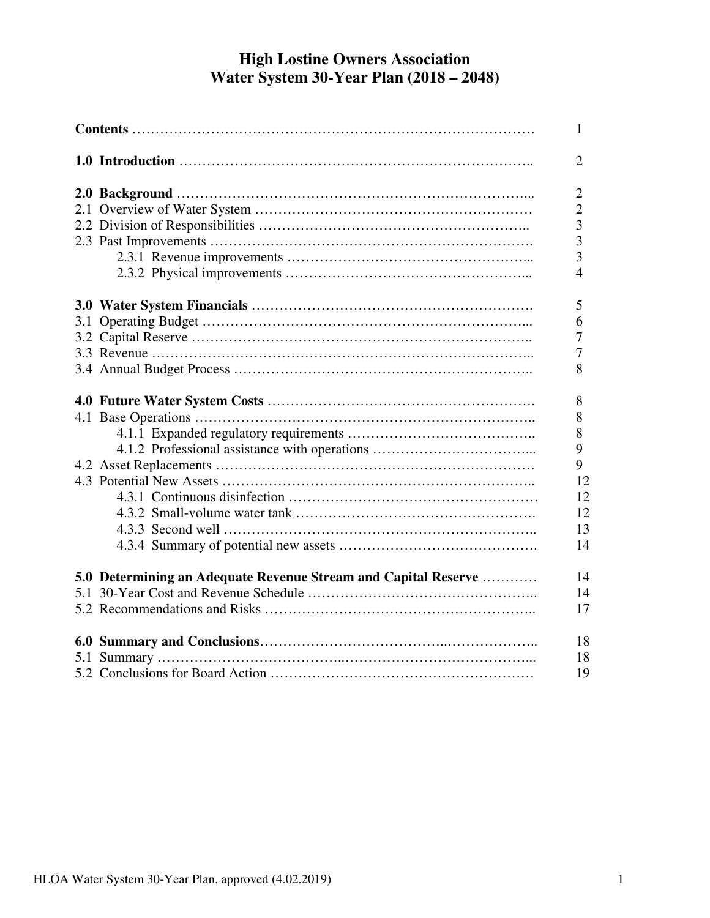# **High Lostine Owners Association Water System 30-Year Plan (2018 – 2048)**

|                                                                | 1              |
|----------------------------------------------------------------|----------------|
|                                                                | $\overline{2}$ |
|                                                                | $\overline{2}$ |
|                                                                | $\overline{2}$ |
|                                                                | 3              |
|                                                                | 3              |
|                                                                | 3              |
|                                                                | $\overline{4}$ |
|                                                                | 5              |
|                                                                | 6              |
|                                                                | 7              |
|                                                                | 7              |
|                                                                | 8              |
|                                                                | 8              |
|                                                                | 8              |
|                                                                | 8              |
|                                                                | 9              |
|                                                                | 9              |
|                                                                | 12             |
|                                                                | 12             |
|                                                                | 12             |
|                                                                | 13             |
|                                                                | 14             |
| 5.0 Determining an Adequate Revenue Stream and Capital Reserve | 14             |
|                                                                | 14             |
|                                                                | 17             |
|                                                                | 18             |
|                                                                | 18             |
|                                                                | 19             |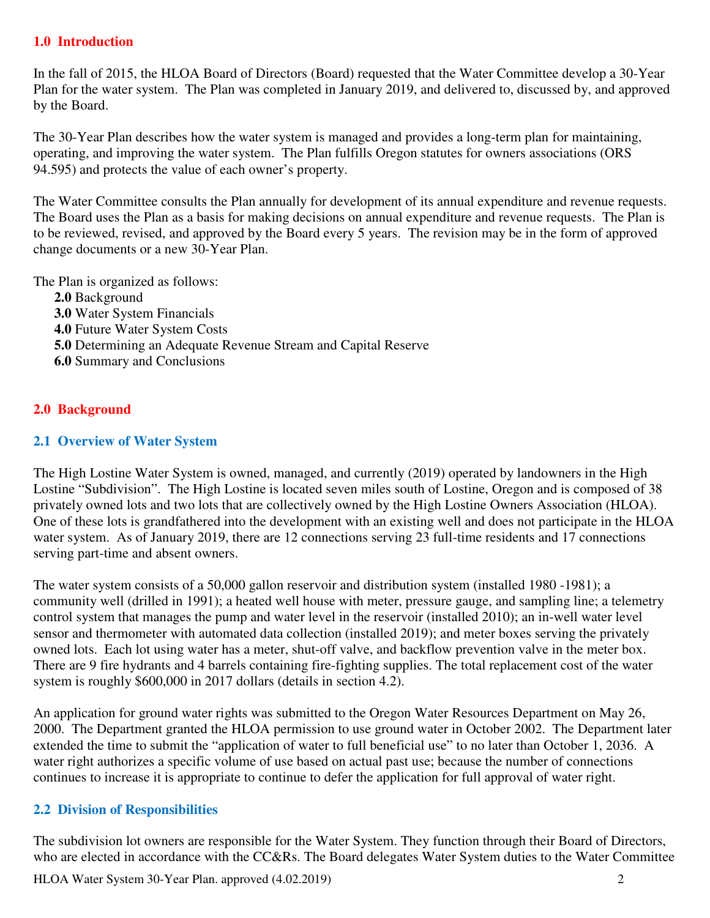### **1.0 Introduction**

In the fall of 2015, the HLOA Board of Directors (Board) requested that the Water Committee develop a 30-Year Plan for the water system. The Plan was completed in January 2019, and delivered to, discussed by, and approved by the Board.

The 30-Year Plan describes how the water system is managed and provides a long-term plan for maintaining, operating, and improving the water system. The Plan fulfills Oregon statutes for owners associations (ORS 94.595) and protects the value of each owner's property.

The Water Committee consults the Plan annually for development of its annual expenditure and revenue requests. The Board uses the Plan as a basis for making decisions on annual expenditure and revenue requests. The Plan is to be reviewed, revised, and approved by the Board every 5 years. The revision may be in the form of approved change documents or a new 30-Year Plan.

The Plan is organized as follows:

**2.0** Background **3.0** Water System Financials **4.0** Future Water System Costs **5.0** Determining an Adequate Revenue Stream and Capital Reserve **6.0** Summary and Conclusions

## **2.0 Background**

### **2.1 Overview of Water System**

The High Lostine Water System is owned, managed, and currently (2019) operated by landowners in the High Lostine "Subdivision". The High Lostine is located seven miles south of Lostine, Oregon and is composed of 38 privately owned lots and two lots that are collectively owned by the High Lostine Owners Association (HLOA). One of these lots is grandfathered into the development with an existing well and does not participate in the HLOA water system. As of January 2019, there are 12 connections serving 23 full-time residents and 17 connections serving part-time and absent owners.

The water system consists of a 50,000 gallon reservoir and distribution system (installed 1980 -1981); a community well (drilled in 1991); a heated well house with meter, pressure gauge, and sampling line; a telemetry control system that manages the pump and water level in the reservoir (installed 2010); an in-well water level sensor and thermometer with automated data collection (installed 2019); and meter boxes serving the privately owned lots. Each lot using water has a meter, shut-off valve, and backflow prevention valve in the meter box. There are 9 fire hydrants and 4 barrels containing fire-fighting supplies. The total replacement cost of the water system is roughly \$600,000 in 2017 dollars (details in section 4.2).

An application for ground water rights was submitted to the Oregon Water Resources Department on May 26, 2000. The Department granted the HLOA permission to use ground water in October 2002. The Department later extended the time to submit the "application of water to full beneficial use" to no later than October 1, 2036. A water right authorizes a specific volume of use based on actual past use; because the number of connections continues to increase it is appropriate to continue to defer the application for full approval of water right.

### **2.2 Division of Responsibilities**

The subdivision lot owners are responsible for the Water System. They function through their Board of Directors, who are elected in accordance with the CC&Rs. The Board delegates Water System duties to the Water Committee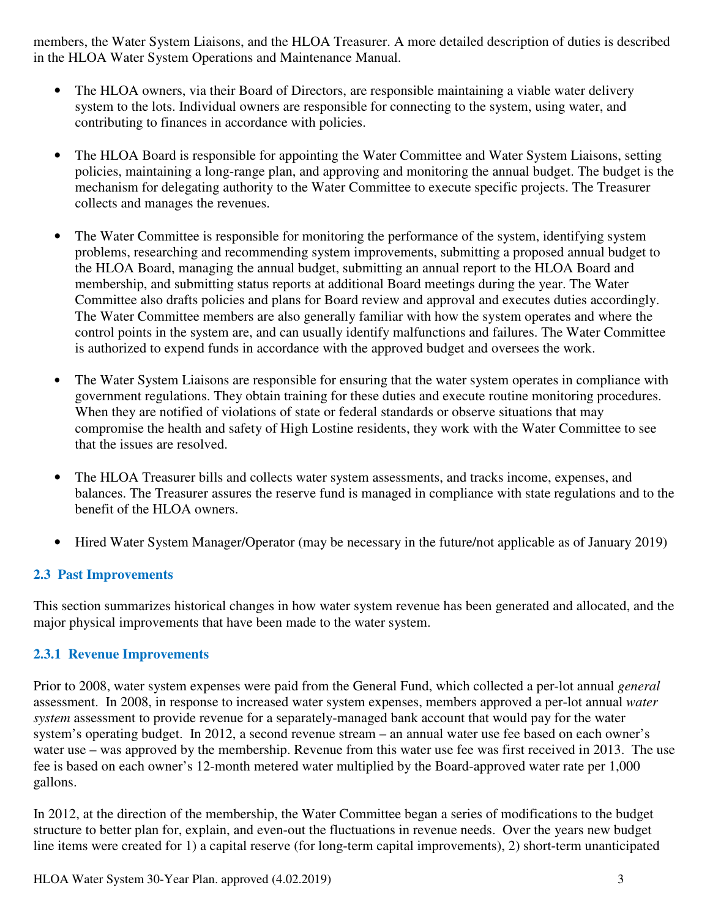members, the Water System Liaisons, and the HLOA Treasurer. A more detailed description of duties is described in the HLOA Water System Operations and Maintenance Manual.

- The HLOA owners, via their Board of Directors, are responsible maintaining a viable water delivery system to the lots. Individual owners are responsible for connecting to the system, using water, and contributing to finances in accordance with policies.
- The HLOA Board is responsible for appointing the Water Committee and Water System Liaisons, setting policies, maintaining a long-range plan, and approving and monitoring the annual budget. The budget is the mechanism for delegating authority to the Water Committee to execute specific projects. The Treasurer collects and manages the revenues.
- The Water Committee is responsible for monitoring the performance of the system, identifying system problems, researching and recommending system improvements, submitting a proposed annual budget to the HLOA Board, managing the annual budget, submitting an annual report to the HLOA Board and membership, and submitting status reports at additional Board meetings during the year. The Water Committee also drafts policies and plans for Board review and approval and executes duties accordingly. The Water Committee members are also generally familiar with how the system operates and where the control points in the system are, and can usually identify malfunctions and failures. The Water Committee is authorized to expend funds in accordance with the approved budget and oversees the work.
- The Water System Liaisons are responsible for ensuring that the water system operates in compliance with government regulations. They obtain training for these duties and execute routine monitoring procedures. When they are notified of violations of state or federal standards or observe situations that may compromise the health and safety of High Lostine residents, they work with the Water Committee to see that the issues are resolved.
- The HLOA Treasurer bills and collects water system assessments, and tracks income, expenses, and balances. The Treasurer assures the reserve fund is managed in compliance with state regulations and to the benefit of the HLOA owners.
- Hired Water System Manager/Operator (may be necessary in the future/not applicable as of January 2019)

## **2.3 Past Improvements**

This section summarizes historical changes in how water system revenue has been generated and allocated, and the major physical improvements that have been made to the water system.

### **2.3.1 Revenue Improvements**

Prior to 2008, water system expenses were paid from the General Fund, which collected a per-lot annual *general*  assessment. In 2008, in response to increased water system expenses, members approved a per-lot annual *water system* assessment to provide revenue for a separately-managed bank account that would pay for the water system's operating budget. In 2012, a second revenue stream – an annual water use fee based on each owner's water use – was approved by the membership. Revenue from this water use fee was first received in 2013. The use fee is based on each owner's 12-month metered water multiplied by the Board-approved water rate per 1,000 gallons.

In 2012, at the direction of the membership, the Water Committee began a series of modifications to the budget structure to better plan for, explain, and even-out the fluctuations in revenue needs. Over the years new budget line items were created for 1) a capital reserve (for long-term capital improvements), 2) short-term unanticipated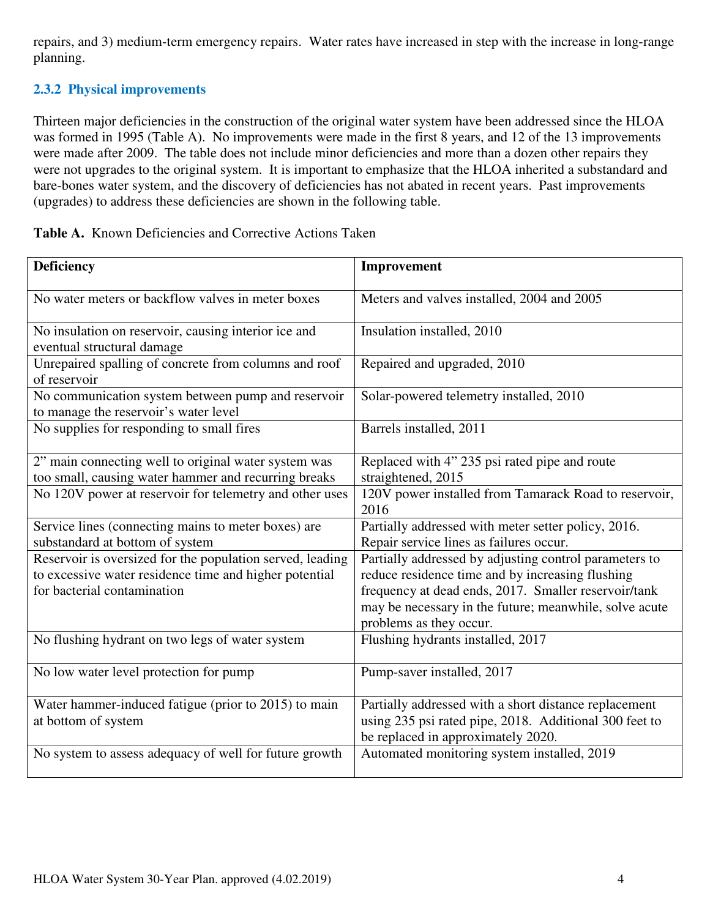repairs, and 3) medium-term emergency repairs. Water rates have increased in step with the increase in long-range planning.

## **2.3.2 Physical improvements**

Thirteen major deficiencies in the construction of the original water system have been addressed since the HLOA was formed in 1995 (Table A). No improvements were made in the first 8 years, and 12 of the 13 improvements were made after 2009. The table does not include minor deficiencies and more than a dozen other repairs they were not upgrades to the original system. It is important to emphasize that the HLOA inherited a substandard and bare-bones water system, and the discovery of deficiencies has not abated in recent years. Past improvements (upgrades) to address these deficiencies are shown in the following table.

| <b>Deficiency</b>                                                                                                   | Improvement                                                                                                    |
|---------------------------------------------------------------------------------------------------------------------|----------------------------------------------------------------------------------------------------------------|
| No water meters or backflow valves in meter boxes                                                                   | Meters and valves installed, 2004 and 2005                                                                     |
| No insulation on reservoir, causing interior ice and                                                                | Insulation installed, 2010                                                                                     |
| eventual structural damage                                                                                          |                                                                                                                |
| Unrepaired spalling of concrete from columns and roof<br>of reservoir                                               | Repaired and upgraded, 2010                                                                                    |
| No communication system between pump and reservoir<br>to manage the reservoir's water level                         | Solar-powered telemetry installed, 2010                                                                        |
| No supplies for responding to small fires                                                                           | Barrels installed, 2011                                                                                        |
| 2" main connecting well to original water system was<br>too small, causing water hammer and recurring breaks        | Replaced with 4" 235 psi rated pipe and route<br>straightened, 2015                                            |
| No 120V power at reservoir for telemetry and other uses                                                             | 120V power installed from Tamarack Road to reservoir,<br>2016                                                  |
| Service lines (connecting mains to meter boxes) are                                                                 | Partially addressed with meter setter policy, 2016.                                                            |
| substandard at bottom of system                                                                                     | Repair service lines as failures occur.                                                                        |
| Reservoir is oversized for the population served, leading<br>to excessive water residence time and higher potential | Partially addressed by adjusting control parameters to<br>reduce residence time and by increasing flushing     |
| for bacterial contamination                                                                                         |                                                                                                                |
|                                                                                                                     | frequency at dead ends, 2017. Smaller reservoir/tank<br>may be necessary in the future; meanwhile, solve acute |
|                                                                                                                     | problems as they occur.                                                                                        |
| No flushing hydrant on two legs of water system                                                                     | Flushing hydrants installed, 2017                                                                              |
| No low water level protection for pump                                                                              | Pump-saver installed, 2017                                                                                     |
| Water hammer-induced fatigue (prior to 2015) to main                                                                | Partially addressed with a short distance replacement                                                          |
| at bottom of system                                                                                                 | using 235 psi rated pipe, 2018. Additional 300 feet to                                                         |
|                                                                                                                     | be replaced in approximately 2020.                                                                             |
| No system to assess adequacy of well for future growth                                                              | Automated monitoring system installed, 2019                                                                    |

| <b>Table A.</b> Known Deficiencies and Corrective Actions Taken |  |
|-----------------------------------------------------------------|--|
|-----------------------------------------------------------------|--|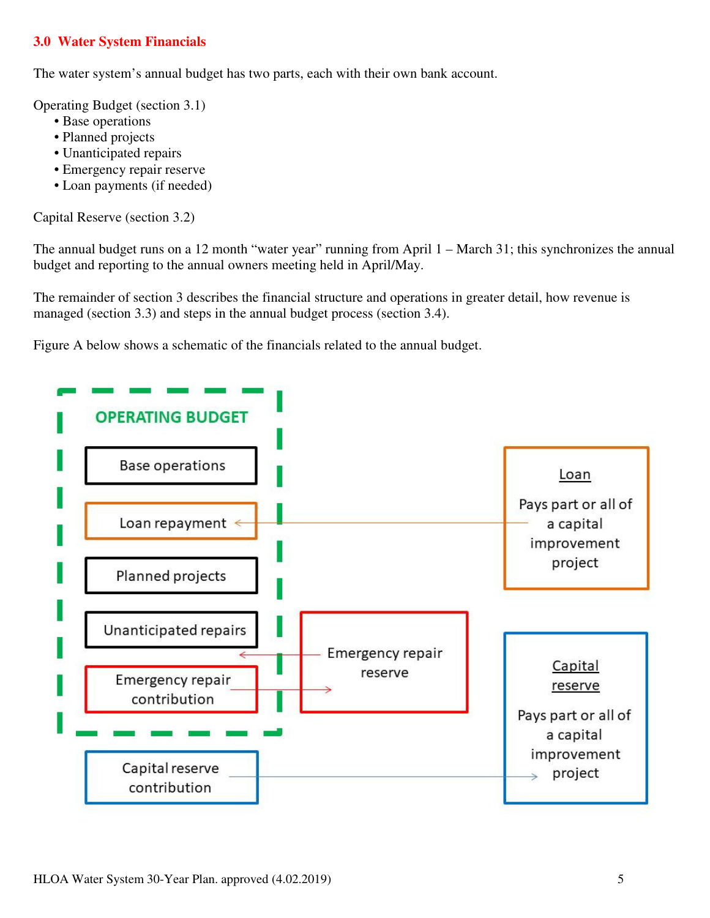## **3.0 Water System Financials**

The water system's annual budget has two parts, each with their own bank account.

Operating Budget (section 3.1)

- Base operations
- Planned projects
- Unanticipated repairs
- Emergency repair reserve
- Loan payments (if needed)

Capital Reserve (section 3.2)

The annual budget runs on a 12 month "water year" running from April 1 – March 31; this synchronizes the annual budget and reporting to the annual owners meeting held in April/May.

The remainder of section 3 describes the financial structure and operations in greater detail, how revenue is managed (section 3.3) and steps in the annual budget process (section 3.4).

Figure A below shows a schematic of the financials related to the annual budget.

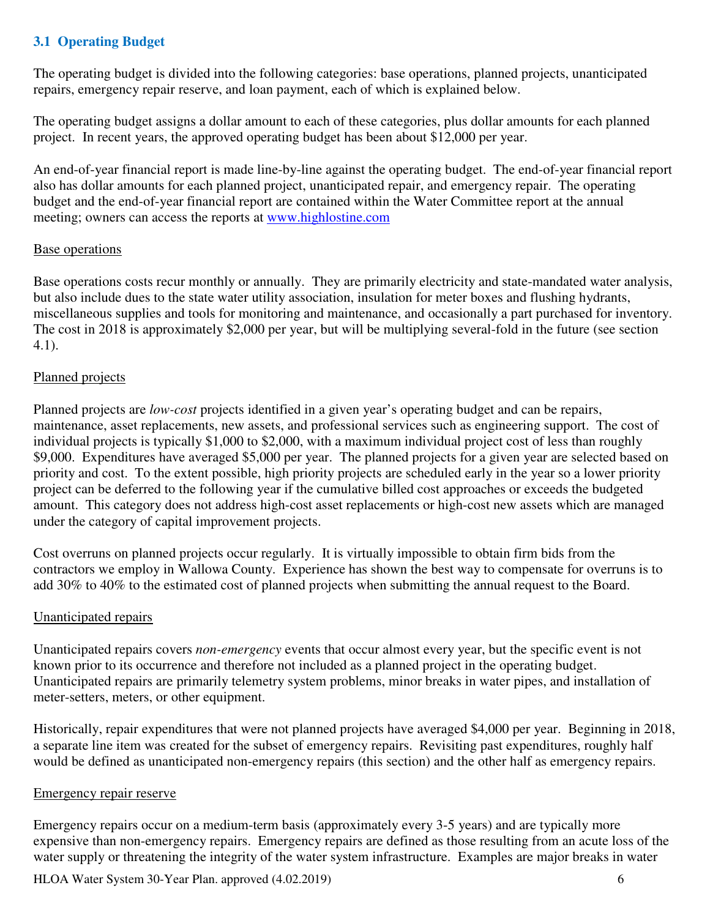## **3.1 Operating Budget**

The operating budget is divided into the following categories: base operations, planned projects, unanticipated repairs, emergency repair reserve, and loan payment, each of which is explained below.

The operating budget assigns a dollar amount to each of these categories, plus dollar amounts for each planned project. In recent years, the approved operating budget has been about \$12,000 per year.

An end-of-year financial report is made line-by-line against the operating budget. The end-of-year financial report also has dollar amounts for each planned project, unanticipated repair, and emergency repair. The operating budget and the end-of-year financial report are contained within the Water Committee report at the annual meeting; owners can access the reports at www.highlostine.com

### Base operations

Base operations costs recur monthly or annually. They are primarily electricity and state-mandated water analysis, but also include dues to the state water utility association, insulation for meter boxes and flushing hydrants, miscellaneous supplies and tools for monitoring and maintenance, and occasionally a part purchased for inventory. The cost in 2018 is approximately \$2,000 per year, but will be multiplying several-fold in the future (see section 4.1).

### Planned projects

Planned projects are *low-cost* projects identified in a given year's operating budget and can be repairs, maintenance, asset replacements, new assets, and professional services such as engineering support. The cost of individual projects is typically \$1,000 to \$2,000, with a maximum individual project cost of less than roughly \$9,000. Expenditures have averaged \$5,000 per year. The planned projects for a given year are selected based on priority and cost. To the extent possible, high priority projects are scheduled early in the year so a lower priority project can be deferred to the following year if the cumulative billed cost approaches or exceeds the budgeted amount. This category does not address high-cost asset replacements or high-cost new assets which are managed under the category of capital improvement projects.

Cost overruns on planned projects occur regularly. It is virtually impossible to obtain firm bids from the contractors we employ in Wallowa County. Experience has shown the best way to compensate for overruns is to add 30% to 40% to the estimated cost of planned projects when submitting the annual request to the Board.

### Unanticipated repairs

Unanticipated repairs covers *non-emergency* events that occur almost every year, but the specific event is not known prior to its occurrence and therefore not included as a planned project in the operating budget. Unanticipated repairs are primarily telemetry system problems, minor breaks in water pipes, and installation of meter-setters, meters, or other equipment.

Historically, repair expenditures that were not planned projects have averaged \$4,000 per year. Beginning in 2018, a separate line item was created for the subset of emergency repairs. Revisiting past expenditures, roughly half would be defined as unanticipated non-emergency repairs (this section) and the other half as emergency repairs.

### Emergency repair reserve

Emergency repairs occur on a medium-term basis (approximately every 3-5 years) and are typically more expensive than non-emergency repairs. Emergency repairs are defined as those resulting from an acute loss of the water supply or threatening the integrity of the water system infrastructure. Examples are major breaks in water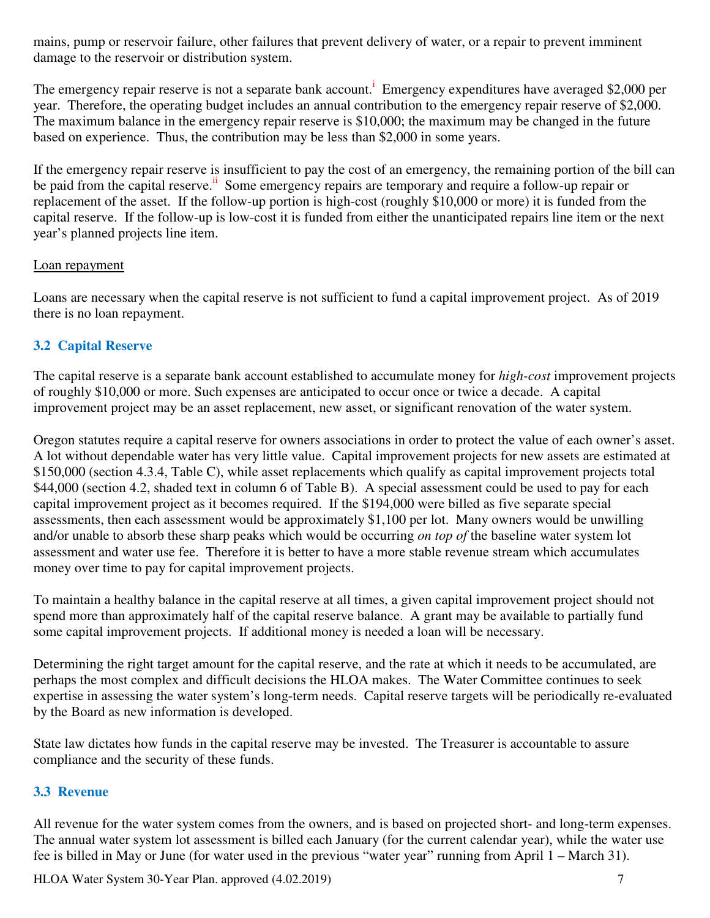mains, pump or reservoir failure, other failures that prevent delivery of water, or a repair to prevent imminent damage to the reservoir or distribution system.

The emergency repair reserve is not a separate bank account.<sup>1</sup> Emergency expenditures have averaged \$2,000 per year. Therefore, the operating budget includes an annual contribution to the emergency repair reserve of \$2,000. The maximum balance in the emergency repair reserve is \$10,000; the maximum may be changed in the future based on experience. Thus, the contribution may be less than \$2,000 in some years.

If the emergency repair reserve is insufficient to pay the cost of an emergency, the remaining portion of the bill can be paid from the capital reserve.<sup>ii</sup> Some emergency repairs are temporary and require a follow-up repair or replacement of the asset. If the follow-up portion is high-cost (roughly \$10,000 or more) it is funded from the capital reserve. If the follow-up is low-cost it is funded from either the unanticipated repairs line item or the next year's planned projects line item.

### Loan repayment

Loans are necessary when the capital reserve is not sufficient to fund a capital improvement project. As of 2019 there is no loan repayment.

## **3.2 Capital Reserve**

The capital reserve is a separate bank account established to accumulate money for *high-cost* improvement projects of roughly \$10,000 or more. Such expenses are anticipated to occur once or twice a decade. A capital improvement project may be an asset replacement, new asset, or significant renovation of the water system.

Oregon statutes require a capital reserve for owners associations in order to protect the value of each owner's asset. A lot without dependable water has very little value. Capital improvement projects for new assets are estimated at \$150,000 (section 4.3.4, Table C), while asset replacements which qualify as capital improvement projects total \$44,000 (section 4.2, shaded text in column 6 of Table B). A special assessment could be used to pay for each capital improvement project as it becomes required. If the \$194,000 were billed as five separate special assessments, then each assessment would be approximately \$1,100 per lot. Many owners would be unwilling and/or unable to absorb these sharp peaks which would be occurring *on top of* the baseline water system lot assessment and water use fee. Therefore it is better to have a more stable revenue stream which accumulates money over time to pay for capital improvement projects.

To maintain a healthy balance in the capital reserve at all times, a given capital improvement project should not spend more than approximately half of the capital reserve balance. A grant may be available to partially fund some capital improvement projects. If additional money is needed a loan will be necessary.

Determining the right target amount for the capital reserve, and the rate at which it needs to be accumulated, are perhaps the most complex and difficult decisions the HLOA makes. The Water Committee continues to seek expertise in assessing the water system's long-term needs. Capital reserve targets will be periodically re-evaluated by the Board as new information is developed.

State law dictates how funds in the capital reserve may be invested. The Treasurer is accountable to assure compliance and the security of these funds.

## **3.3 Revenue**

All revenue for the water system comes from the owners, and is based on projected short- and long-term expenses. The annual water system lot assessment is billed each January (for the current calendar year), while the water use fee is billed in May or June (for water used in the previous "water year" running from April 1 – March 31).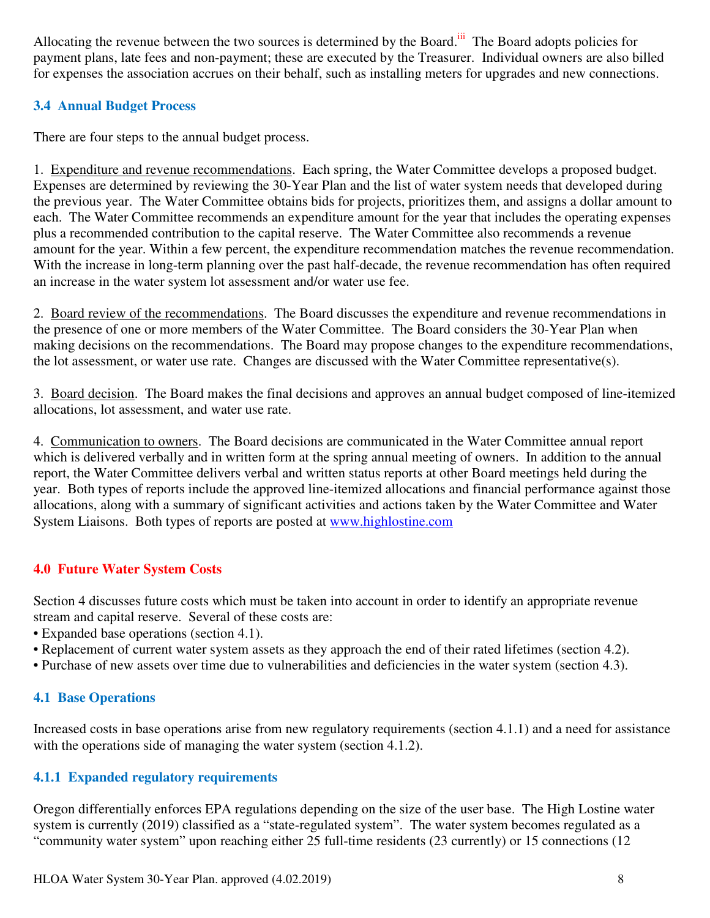Allocating the revenue between the two sources is determined by the Board.<sup>iii</sup> The Board adopts policies for payment plans, late fees and non-payment; these are executed by the Treasurer. Individual owners are also billed for expenses the association accrues on their behalf, such as installing meters for upgrades and new connections.

## **3.4 Annual Budget Process**

There are four steps to the annual budget process.

1. Expenditure and revenue recommendations. Each spring, the Water Committee develops a proposed budget. Expenses are determined by reviewing the 30-Year Plan and the list of water system needs that developed during the previous year. The Water Committee obtains bids for projects, prioritizes them, and assigns a dollar amount to each. The Water Committee recommends an expenditure amount for the year that includes the operating expenses plus a recommended contribution to the capital reserve. The Water Committee also recommends a revenue amount for the year. Within a few percent, the expenditure recommendation matches the revenue recommendation. With the increase in long-term planning over the past half-decade, the revenue recommendation has often required an increase in the water system lot assessment and/or water use fee.

2. Board review of the recommendations. The Board discusses the expenditure and revenue recommendations in the presence of one or more members of the Water Committee. The Board considers the 30-Year Plan when making decisions on the recommendations. The Board may propose changes to the expenditure recommendations, the lot assessment, or water use rate. Changes are discussed with the Water Committee representative(s).

3. Board decision. The Board makes the final decisions and approves an annual budget composed of line-itemized allocations, lot assessment, and water use rate.

4. Communication to owners. The Board decisions are communicated in the Water Committee annual report which is delivered verbally and in written form at the spring annual meeting of owners. In addition to the annual report, the Water Committee delivers verbal and written status reports at other Board meetings held during the year. Both types of reports include the approved line-itemized allocations and financial performance against those allocations, along with a summary of significant activities and actions taken by the Water Committee and Water System Liaisons. Both types of reports are posted at www.highlostine.com

## **4.0 Future Water System Costs**

Section 4 discusses future costs which must be taken into account in order to identify an appropriate revenue stream and capital reserve. Several of these costs are:

- Expanded base operations (section 4.1).
- Replacement of current water system assets as they approach the end of their rated lifetimes (section 4.2).
- Purchase of new assets over time due to vulnerabilities and deficiencies in the water system (section 4.3).

## **4.1 Base Operations**

Increased costs in base operations arise from new regulatory requirements (section 4.1.1) and a need for assistance with the operations side of managing the water system (section 4.1.2).

## **4.1.1 Expanded regulatory requirements**

Oregon differentially enforces EPA regulations depending on the size of the user base. The High Lostine water system is currently (2019) classified as a "state-regulated system". The water system becomes regulated as a "community water system" upon reaching either 25 full-time residents (23 currently) or 15 connections (12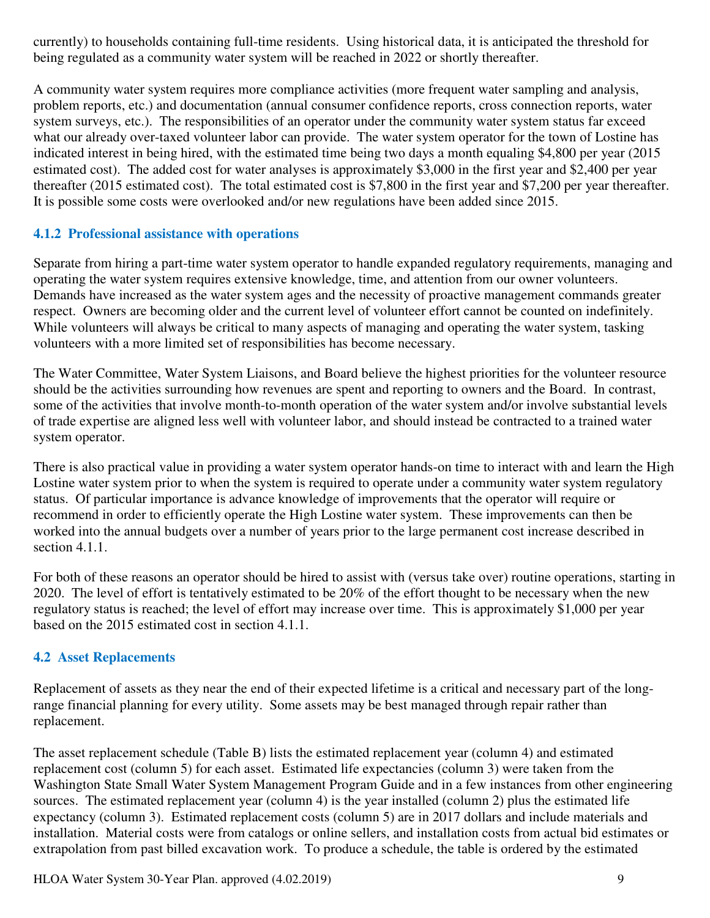currently) to households containing full-time residents. Using historical data, it is anticipated the threshold for being regulated as a community water system will be reached in 2022 or shortly thereafter.

A community water system requires more compliance activities (more frequent water sampling and analysis, problem reports, etc.) and documentation (annual consumer confidence reports, cross connection reports, water system surveys, etc.). The responsibilities of an operator under the community water system status far exceed what our already over-taxed volunteer labor can provide. The water system operator for the town of Lostine has indicated interest in being hired, with the estimated time being two days a month equaling \$4,800 per year (2015 estimated cost). The added cost for water analyses is approximately \$3,000 in the first year and \$2,400 per year thereafter (2015 estimated cost). The total estimated cost is \$7,800 in the first year and \$7,200 per year thereafter. It is possible some costs were overlooked and/or new regulations have been added since 2015.

## **4.1.2 Professional assistance with operations**

Separate from hiring a part-time water system operator to handle expanded regulatory requirements, managing and operating the water system requires extensive knowledge, time, and attention from our owner volunteers. Demands have increased as the water system ages and the necessity of proactive management commands greater respect. Owners are becoming older and the current level of volunteer effort cannot be counted on indefinitely. While volunteers will always be critical to many aspects of managing and operating the water system, tasking volunteers with a more limited set of responsibilities has become necessary.

The Water Committee, Water System Liaisons, and Board believe the highest priorities for the volunteer resource should be the activities surrounding how revenues are spent and reporting to owners and the Board. In contrast, some of the activities that involve month-to-month operation of the water system and/or involve substantial levels of trade expertise are aligned less well with volunteer labor, and should instead be contracted to a trained water system operator.

There is also practical value in providing a water system operator hands-on time to interact with and learn the High Lostine water system prior to when the system is required to operate under a community water system regulatory status. Of particular importance is advance knowledge of improvements that the operator will require or recommend in order to efficiently operate the High Lostine water system. These improvements can then be worked into the annual budgets over a number of years prior to the large permanent cost increase described in section 4.1.1.

For both of these reasons an operator should be hired to assist with (versus take over) routine operations, starting in 2020. The level of effort is tentatively estimated to be 20% of the effort thought to be necessary when the new regulatory status is reached; the level of effort may increase over time. This is approximately \$1,000 per year based on the 2015 estimated cost in section 4.1.1.

## **4.2 Asset Replacements**

Replacement of assets as they near the end of their expected lifetime is a critical and necessary part of the longrange financial planning for every utility. Some assets may be best managed through repair rather than replacement.

The asset replacement schedule (Table B) lists the estimated replacement year (column 4) and estimated replacement cost (column 5) for each asset. Estimated life expectancies (column 3) were taken from the Washington State Small Water System Management Program Guide and in a few instances from other engineering sources. The estimated replacement year (column 4) is the year installed (column 2) plus the estimated life expectancy (column 3). Estimated replacement costs (column 5) are in 2017 dollars and include materials and installation. Material costs were from catalogs or online sellers, and installation costs from actual bid estimates or extrapolation from past billed excavation work. To produce a schedule, the table is ordered by the estimated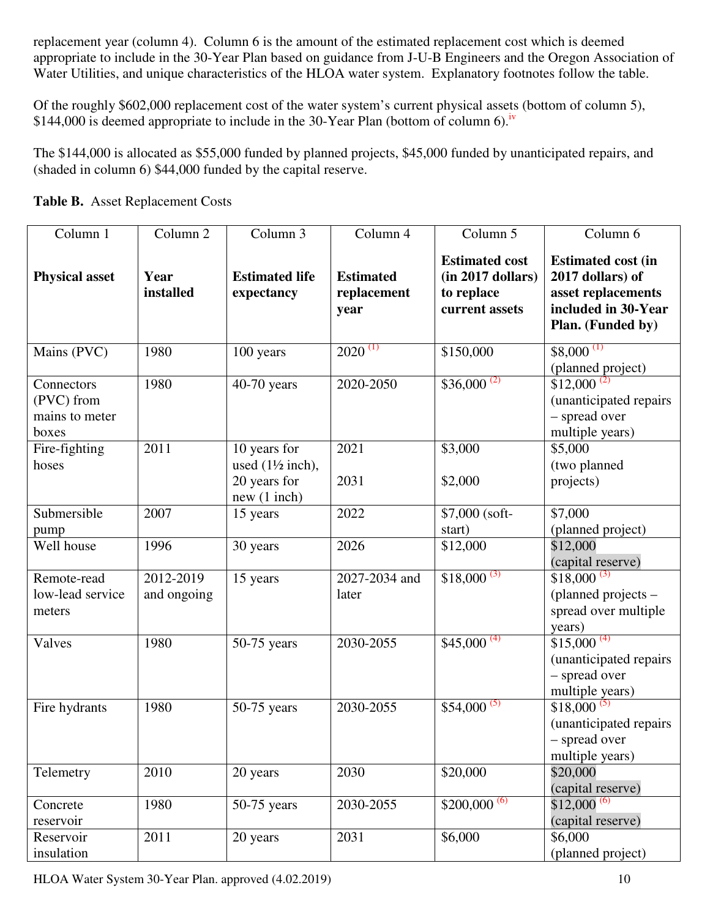replacement year (column 4). Column 6 is the amount of the estimated replacement cost which is deemed appropriate to include in the 30-Year Plan based on guidance from J-U-B Engineers and the Oregon Association of Water Utilities, and unique characteristics of the HLOA water system. Explanatory footnotes follow the table.

Of the roughly \$602,000 replacement cost of the water system's current physical assets (bottom of column 5), \$144,000 is deemed appropriate to include in the 30-Year Plan (bottom of column 6).<sup>iv</sup>

The \$144,000 is allocated as \$55,000 funded by planned projects, \$45,000 funded by unanticipated repairs, and (shaded in column 6) \$44,000 funded by the capital reserve.

| Column 1<br>Column <sub>2</sub>                     |                          | Column 3                                                                   | Column 4                                | Column 5                                                                        | Column 6                                                                                                        |  |  |
|-----------------------------------------------------|--------------------------|----------------------------------------------------------------------------|-----------------------------------------|---------------------------------------------------------------------------------|-----------------------------------------------------------------------------------------------------------------|--|--|
| <b>Physical asset</b>                               | Year<br>installed        | <b>Estimated life</b><br>expectancy                                        | <b>Estimated</b><br>replacement<br>year | <b>Estimated cost</b><br>$(in 2017$ dollars $)$<br>to replace<br>current assets | <b>Estimated cost (in</b><br>2017 dollars) of<br>asset replacements<br>included in 30-Year<br>Plan. (Funded by) |  |  |
| Mains (PVC)                                         | 1980                     | 100 years                                                                  | $2020^{(1)}$                            | \$150,000                                                                       | $$8,000$ <sup>(1)</sup><br>(planned project)                                                                    |  |  |
| Connectors<br>(PVC) from<br>mains to meter<br>boxes | 1980                     | 40-70 years                                                                | 2020-2050                               | $$36,000^{(2)}$                                                                 | $$12,000^{(2)}$<br>(unanticipated repairs<br>- spread over<br>multiple years)                                   |  |  |
| Fire-fighting<br>hoses                              | 2011                     | 10 years for<br>used $(1\frac{1}{2}$ inch),<br>20 years for<br>new(1 inch) | 2021<br>2031                            | \$3,000<br>\$2,000                                                              | \$5,000<br>(two planned<br>projects)                                                                            |  |  |
| Submersible<br>pump                                 | 2007                     | 15 years                                                                   | 2022                                    | \$7,000 (soft-<br>start)                                                        | \$7,000<br>(planned project)                                                                                    |  |  |
| Well house                                          | 1996                     | 30 years                                                                   | 2026                                    | \$12,000                                                                        | \$12,000<br>(capital reserve)                                                                                   |  |  |
| Remote-read<br>low-lead service<br>meters           | 2012-2019<br>and ongoing | 15 years                                                                   | 2027-2034 and<br>later                  | $$18,000^{(3)}$                                                                 | $$18,000^{(3)}$<br>(planned projects -<br>spread over multiple<br>years)                                        |  |  |
| Valves                                              | 1980                     | $50-75$ years                                                              | 2030-2055                               | $$45,000^{(4)}$                                                                 | $$15,000^{(4)}$<br>(unanticipated repairs)<br>- spread over<br>multiple years)                                  |  |  |
| Fire hydrants                                       | 1980                     | $50-75$ years                                                              | 2030-2055                               | $$54,000^{(5)}$                                                                 | $$18,000^{(5)}$<br>(unanticipated repairs<br>- spread over<br>multiple years)                                   |  |  |
| Telemetry                                           | 2010                     | 20 years                                                                   | 2030                                    | \$20,000                                                                        | \$20,000<br>(capital reserve)                                                                                   |  |  |
| Concrete<br>reservoir                               | 1980                     | $50-75$ years                                                              | 2030-2055                               | $$200,000^{(6)}$                                                                | $$12,000^{(6)}$<br>(capital reserve)                                                                            |  |  |
| Reservoir<br>insulation                             | 2011                     | 20 years                                                                   | 2031                                    | \$6,000                                                                         | \$6,000<br>(planned project)                                                                                    |  |  |

**Table B.** Asset Replacement Costs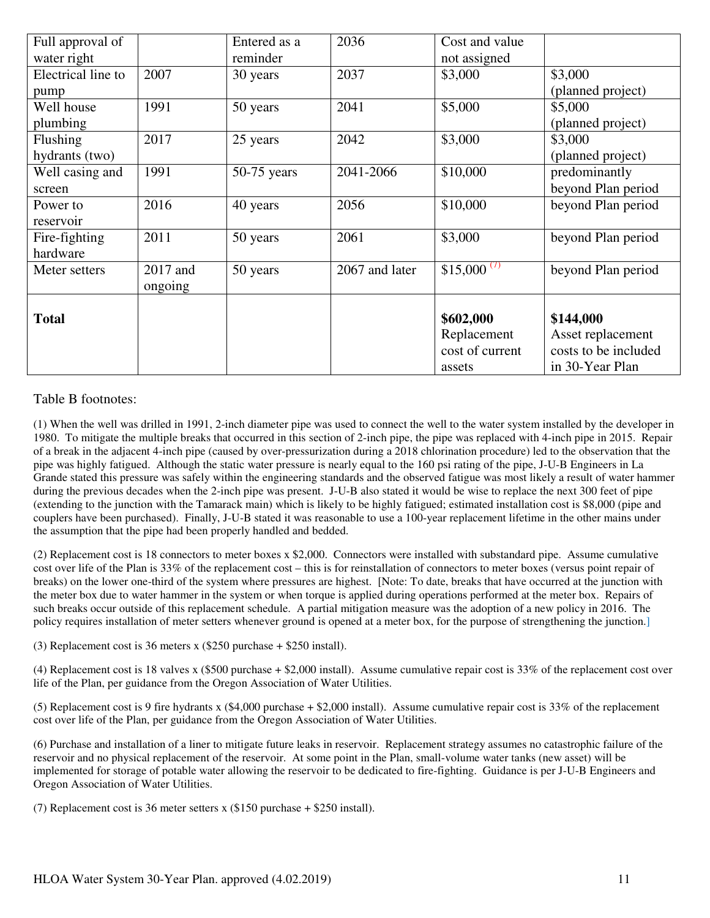| Full approval of   |          | Entered as a  | 2036           | Cost and value          |                      |
|--------------------|----------|---------------|----------------|-------------------------|----------------------|
| water right        |          | reminder      |                | not assigned            |                      |
| Electrical line to | 2007     | 30 years      | 2037           | \$3,000                 | \$3,000              |
| pump               |          |               |                |                         | (planned project)    |
| Well house         | 1991     | 50 years      | 2041           | \$5,000                 | \$5,000              |
| plumbing           |          |               |                |                         | (planned project)    |
| Flushing           | 2017     | 25 years      | 2042           | \$3,000                 | \$3,000              |
| hydrants (two)     |          |               |                |                         | (planned project)    |
| Well casing and    | 1991     | $50-75$ years | 2041-2066      | \$10,000                | predominantly        |
| screen             |          |               |                |                         | beyond Plan period   |
| Power to           | 2016     | 40 years      | 2056           | \$10,000                | beyond Plan period   |
| reservoir          |          |               |                |                         |                      |
| Fire-fighting      | 2011     | 50 years      | 2061           | \$3,000                 | beyond Plan period   |
| hardware           |          |               |                |                         |                      |
| Meter setters      | 2017 and | 50 years      | 2067 and later | \$15,000 <sup>(7)</sup> | beyond Plan period   |
|                    | ongoing  |               |                |                         |                      |
|                    |          |               |                |                         |                      |
| <b>Total</b>       |          |               |                | \$602,000               | \$144,000            |
|                    |          |               |                | Replacement             | Asset replacement    |
|                    |          |               |                | cost of current         | costs to be included |
|                    |          |               |                | assets                  | in 30-Year Plan      |

#### Table B footnotes:

(1) When the well was drilled in 1991, 2-inch diameter pipe was used to connect the well to the water system installed by the developer in 1980. To mitigate the multiple breaks that occurred in this section of 2-inch pipe, the pipe was replaced with 4-inch pipe in 2015. Repair of a break in the adjacent 4-inch pipe (caused by over-pressurization during a 2018 chlorination procedure) led to the observation that the pipe was highly fatigued. Although the static water pressure is nearly equal to the 160 psi rating of the pipe, J-U-B Engineers in La Grande stated this pressure was safely within the engineering standards and the observed fatigue was most likely a result of water hammer during the previous decades when the 2-inch pipe was present. J-U-B also stated it would be wise to replace the next 300 feet of pipe (extending to the junction with the Tamarack main) which is likely to be highly fatigued; estimated installation cost is \$8,000 (pipe and couplers have been purchased). Finally, J-U-B stated it was reasonable to use a 100-year replacement lifetime in the other mains under the assumption that the pipe had been properly handled and bedded.

(2) Replacement cost is 18 connectors to meter boxes x \$2,000. Connectors were installed with substandard pipe. Assume cumulative cost over life of the Plan is 33% of the replacement cost – this is for reinstallation of connectors to meter boxes (versus point repair of breaks) on the lower one-third of the system where pressures are highest. [Note: To date, breaks that have occurred at the junction with the meter box due to water hammer in the system or when torque is applied during operations performed at the meter box. Repairs of such breaks occur outside of this replacement schedule. A partial mitigation measure was the adoption of a new policy in 2016. The policy requires installation of meter setters whenever ground is opened at a meter box, for the purpose of strengthening the junction.]

(3) Replacement cost is 36 meters x (\$250 purchase + \$250 install).

(4) Replacement cost is 18 valves x (\$500 purchase + \$2,000 install). Assume cumulative repair cost is 33% of the replacement cost over life of the Plan, per guidance from the Oregon Association of Water Utilities.

(5) Replacement cost is 9 fire hydrants x (\$4,000 purchase + \$2,000 install). Assume cumulative repair cost is 33% of the replacement cost over life of the Plan, per guidance from the Oregon Association of Water Utilities.

(6) Purchase and installation of a liner to mitigate future leaks in reservoir. Replacement strategy assumes no catastrophic failure of the reservoir and no physical replacement of the reservoir. At some point in the Plan, small-volume water tanks (new asset) will be implemented for storage of potable water allowing the reservoir to be dedicated to fire-fighting. Guidance is per J-U-B Engineers and Oregon Association of Water Utilities.

(7) Replacement cost is 36 meter setters x (\$150 purchase + \$250 install).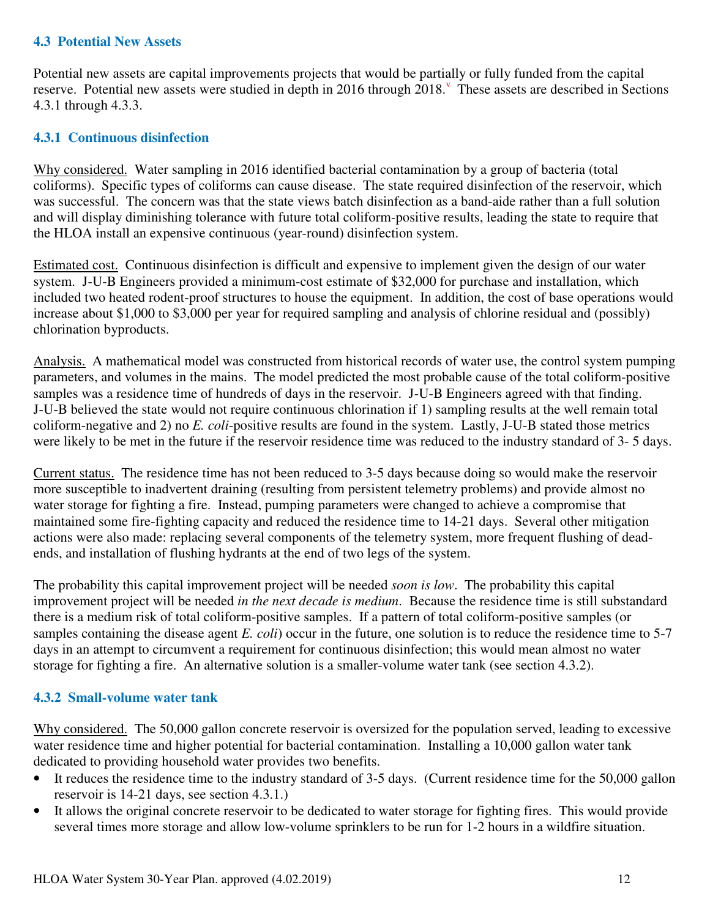### **4.3 Potential New Assets**

Potential new assets are capital improvements projects that would be partially or fully funded from the capital reserve. Potential new assets were studied in depth in 2016 through 2018. These assets are described in Sections 4.3.1 through 4.3.3.

### **4.3.1 Continuous disinfection**

Why considered. Water sampling in 2016 identified bacterial contamination by a group of bacteria (total coliforms). Specific types of coliforms can cause disease. The state required disinfection of the reservoir, which was successful. The concern was that the state views batch disinfection as a band-aide rather than a full solution and will display diminishing tolerance with future total coliform-positive results, leading the state to require that the HLOA install an expensive continuous (year-round) disinfection system.

Estimated cost. Continuous disinfection is difficult and expensive to implement given the design of our water system. J-U-B Engineers provided a minimum-cost estimate of \$32,000 for purchase and installation, which included two heated rodent-proof structures to house the equipment. In addition, the cost of base operations would increase about \$1,000 to \$3,000 per year for required sampling and analysis of chlorine residual and (possibly) chlorination byproducts.

Analysis. A mathematical model was constructed from historical records of water use, the control system pumping parameters, and volumes in the mains. The model predicted the most probable cause of the total coliform-positive samples was a residence time of hundreds of days in the reservoir. J-U-B Engineers agreed with that finding. J-U-B believed the state would not require continuous chlorination if 1) sampling results at the well remain total coliform-negative and 2) no *E. coli*-positive results are found in the system. Lastly, J-U-B stated those metrics were likely to be met in the future if the reservoir residence time was reduced to the industry standard of 3- 5 days.

Current status. The residence time has not been reduced to 3-5 days because doing so would make the reservoir more susceptible to inadvertent draining (resulting from persistent telemetry problems) and provide almost no water storage for fighting a fire. Instead, pumping parameters were changed to achieve a compromise that maintained some fire-fighting capacity and reduced the residence time to 14-21 days. Several other mitigation actions were also made: replacing several components of the telemetry system, more frequent flushing of deadends, and installation of flushing hydrants at the end of two legs of the system.

The probability this capital improvement project will be needed *soon is low*. The probability this capital improvement project will be needed *in the next decade is medium*. Because the residence time is still substandard there is a medium risk of total coliform-positive samples. If a pattern of total coliform-positive samples (or samples containing the disease agent *E. coli*) occur in the future, one solution is to reduce the residence time to 5-7 days in an attempt to circumvent a requirement for continuous disinfection; this would mean almost no water storage for fighting a fire. An alternative solution is a smaller-volume water tank (see section 4.3.2).

### **4.3.2 Small-volume water tank**

Why considered. The 50,000 gallon concrete reservoir is oversized for the population served, leading to excessive water residence time and higher potential for bacterial contamination. Installing a 10,000 gallon water tank dedicated to providing household water provides two benefits.

- It reduces the residence time to the industry standard of 3-5 days. (Current residence time for the 50,000 gallon reservoir is 14-21 days, see section 4.3.1.)
- It allows the original concrete reservoir to be dedicated to water storage for fighting fires. This would provide several times more storage and allow low-volume sprinklers to be run for 1-2 hours in a wildfire situation.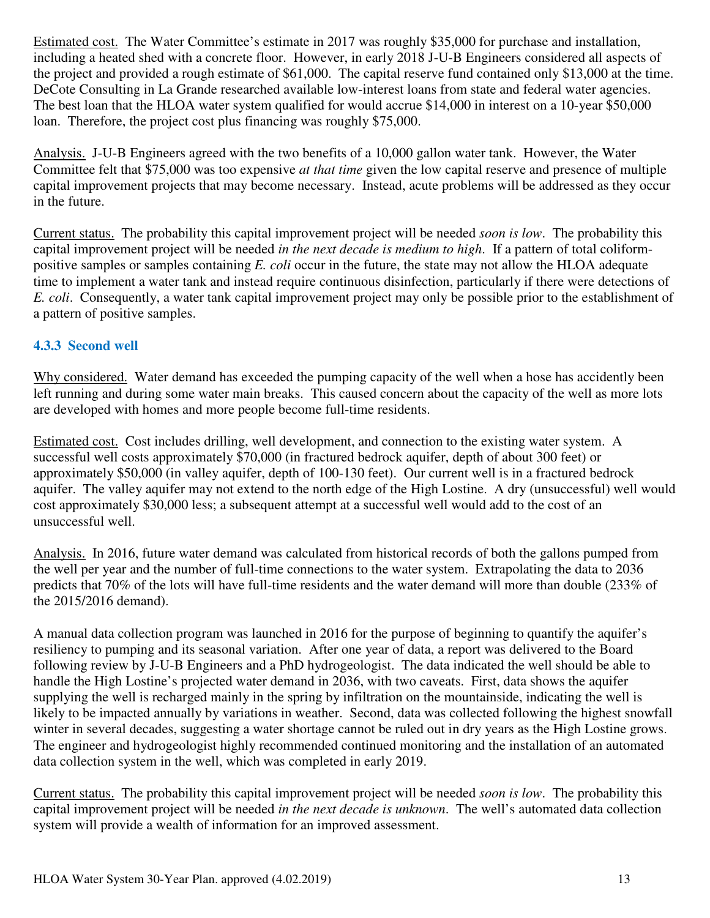Estimated cost. The Water Committee's estimate in 2017 was roughly \$35,000 for purchase and installation, including a heated shed with a concrete floor. However, in early 2018 J-U-B Engineers considered all aspects of the project and provided a rough estimate of \$61,000. The capital reserve fund contained only \$13,000 at the time. DeCote Consulting in La Grande researched available low-interest loans from state and federal water agencies. The best loan that the HLOA water system qualified for would accrue \$14,000 in interest on a 10-year \$50,000 loan. Therefore, the project cost plus financing was roughly \$75,000.

Analysis. J-U-B Engineers agreed with the two benefits of a 10,000 gallon water tank. However, the Water Committee felt that \$75,000 was too expensive *at that time* given the low capital reserve and presence of multiple capital improvement projects that may become necessary. Instead, acute problems will be addressed as they occur in the future.

Current status. The probability this capital improvement project will be needed *soon is low*. The probability this capital improvement project will be needed *in the next decade is medium to high*. If a pattern of total coliformpositive samples or samples containing *E. coli* occur in the future, the state may not allow the HLOA adequate time to implement a water tank and instead require continuous disinfection, particularly if there were detections of *E. coli*. Consequently, a water tank capital improvement project may only be possible prior to the establishment of a pattern of positive samples.

## **4.3.3 Second well**

Why considered. Water demand has exceeded the pumping capacity of the well when a hose has accidently been left running and during some water main breaks. This caused concern about the capacity of the well as more lots are developed with homes and more people become full-time residents.

Estimated cost. Cost includes drilling, well development, and connection to the existing water system. A successful well costs approximately \$70,000 (in fractured bedrock aquifer, depth of about 300 feet) or approximately \$50,000 (in valley aquifer, depth of 100-130 feet). Our current well is in a fractured bedrock aquifer. The valley aquifer may not extend to the north edge of the High Lostine. A dry (unsuccessful) well would cost approximately \$30,000 less; a subsequent attempt at a successful well would add to the cost of an unsuccessful well.

Analysis. In 2016, future water demand was calculated from historical records of both the gallons pumped from the well per year and the number of full-time connections to the water system. Extrapolating the data to 2036 predicts that 70% of the lots will have full-time residents and the water demand will more than double (233% of the 2015/2016 demand).

A manual data collection program was launched in 2016 for the purpose of beginning to quantify the aquifer's resiliency to pumping and its seasonal variation. After one year of data, a report was delivered to the Board following review by J-U-B Engineers and a PhD hydrogeologist. The data indicated the well should be able to handle the High Lostine's projected water demand in 2036, with two caveats. First, data shows the aquifer supplying the well is recharged mainly in the spring by infiltration on the mountainside, indicating the well is likely to be impacted annually by variations in weather. Second, data was collected following the highest snowfall winter in several decades, suggesting a water shortage cannot be ruled out in dry years as the High Lostine grows. The engineer and hydrogeologist highly recommended continued monitoring and the installation of an automated data collection system in the well, which was completed in early 2019.

Current status. The probability this capital improvement project will be needed *soon is low*. The probability this capital improvement project will be needed *in the next decade is unknown*. The well's automated data collection system will provide a wealth of information for an improved assessment.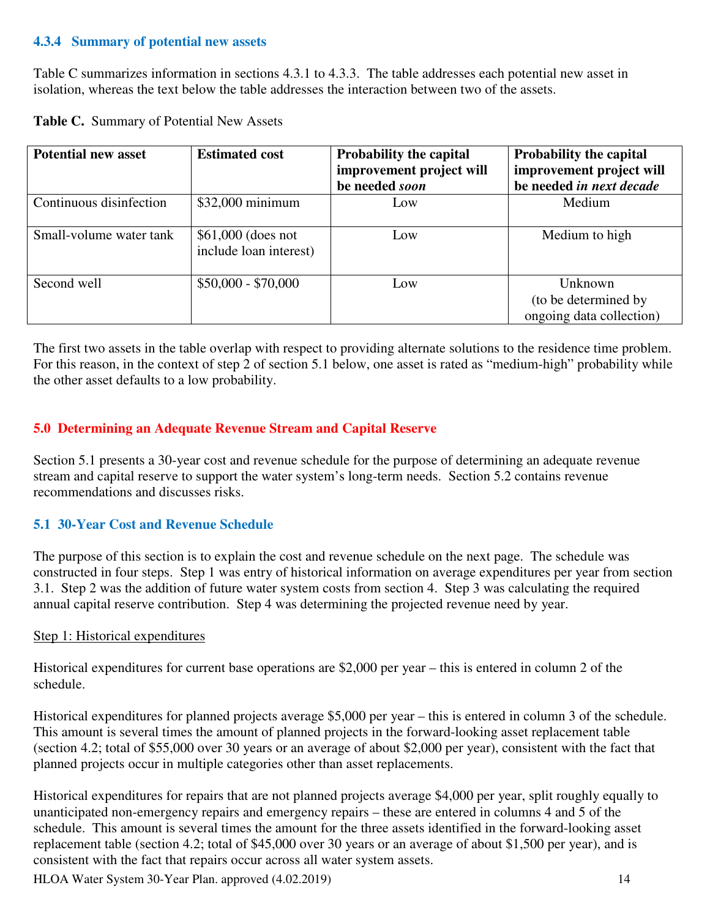### **4.3.4 Summary of potential new assets**

Table C summarizes information in sections 4.3.1 to 4.3.3. The table addresses each potential new asset in isolation, whereas the text below the table addresses the interaction between two of the assets.

|  |  |  | Table C. Summary of Potential New Assets |
|--|--|--|------------------------------------------|
|--|--|--|------------------------------------------|

| <b>Potential new asset</b> | <b>Estimated cost</b>                         | <b>Probability the capital</b> | <b>Probability the capital</b>                              |  |  |
|----------------------------|-----------------------------------------------|--------------------------------|-------------------------------------------------------------|--|--|
|                            |                                               | improvement project will       | improvement project will                                    |  |  |
|                            |                                               | be needed soon                 | be needed in next decade                                    |  |  |
| Continuous disinfection    | $$32,000$ minimum                             | Low                            | Medium                                                      |  |  |
| Small-volume water tank    | $$61,000$ (does not<br>include loan interest) | Low                            | Medium to high                                              |  |  |
| Second well                | $$50,000 - $70,000$                           | Low                            | Unknown<br>(to be determined by<br>ongoing data collection) |  |  |

The first two assets in the table overlap with respect to providing alternate solutions to the residence time problem. For this reason, in the context of step 2 of section 5.1 below, one asset is rated as "medium-high" probability while the other asset defaults to a low probability.

## **5.0 Determining an Adequate Revenue Stream and Capital Reserve**

Section 5.1 presents a 30-year cost and revenue schedule for the purpose of determining an adequate revenue stream and capital reserve to support the water system's long-term needs. Section 5.2 contains revenue recommendations and discusses risks.

### **5.1 30-Year Cost and Revenue Schedule**

The purpose of this section is to explain the cost and revenue schedule on the next page. The schedule was constructed in four steps. Step 1 was entry of historical information on average expenditures per year from section 3.1. Step 2 was the addition of future water system costs from section 4. Step 3 was calculating the required annual capital reserve contribution. Step 4 was determining the projected revenue need by year.

#### Step 1: Historical expenditures

Historical expenditures for current base operations are \$2,000 per year – this is entered in column 2 of the schedule.

Historical expenditures for planned projects average \$5,000 per year – this is entered in column 3 of the schedule. This amount is several times the amount of planned projects in the forward-looking asset replacement table (section 4.2; total of \$55,000 over 30 years or an average of about \$2,000 per year), consistent with the fact that planned projects occur in multiple categories other than asset replacements.

Historical expenditures for repairs that are not planned projects average \$4,000 per year, split roughly equally to unanticipated non-emergency repairs and emergency repairs – these are entered in columns 4 and 5 of the schedule. This amount is several times the amount for the three assets identified in the forward-looking asset replacement table (section 4.2; total of \$45,000 over 30 years or an average of about \$1,500 per year), and is consistent with the fact that repairs occur across all water system assets.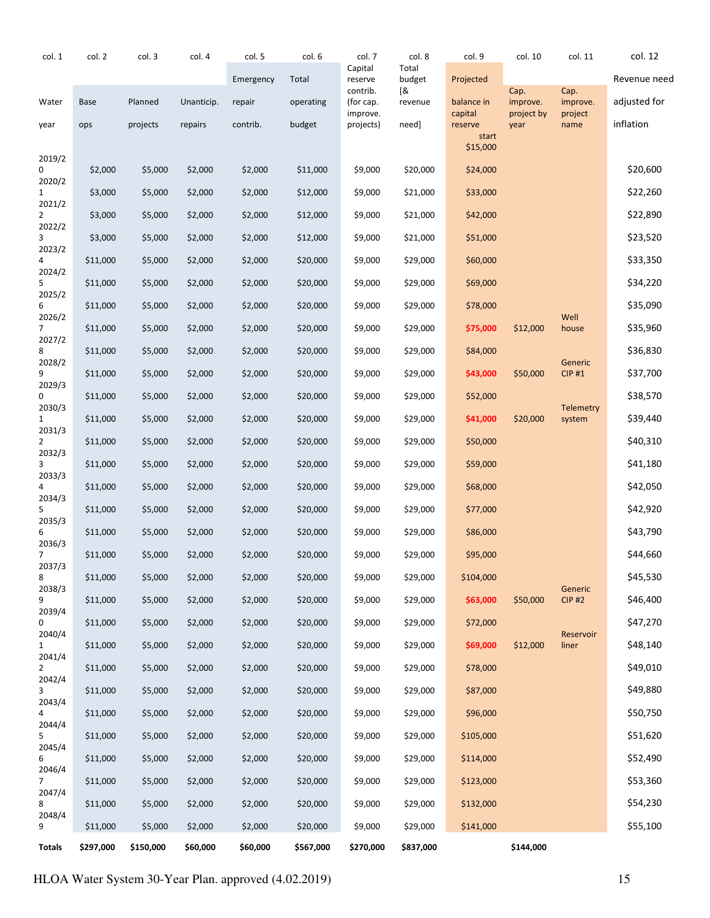| col. 1                   | col. 2      | col. 3    | col. 4     | col. 5    | col. 6    | col. 7                | col. 8          | col. 9             | col. 10            | col. 11                  | col. 12      |
|--------------------------|-------------|-----------|------------|-----------|-----------|-----------------------|-----------------|--------------------|--------------------|--------------------------|--------------|
|                          |             |           |            | Emergency | Total     | Capital<br>reserve    | Total<br>budget | Projected          |                    |                          | Revenue need |
| Water                    | <b>Base</b> | Planned   | Unanticip. | repair    | operating | contrib.<br>(for cap. | [&<br>revenue   | balance in         | Cap.<br>improve.   | Cap.<br>improve.         | adjusted for |
| year                     | ops         | projects  | repairs    | contrib.  | budget    | improve.<br>projects) | need]           | capital<br>reserve | project by<br>year | project<br>name          | inflation    |
|                          |             |           |            |           |           |                       |                 | start<br>\$15,000  |                    |                          |              |
| 2019/2<br>0              | \$2,000     | \$5,000   | \$2,000    | \$2,000   | \$11,000  | \$9,000               | \$20,000        | \$24,000           |                    |                          | \$20,600     |
| 2020/2                   |             |           |            |           |           |                       |                 |                    |                    |                          |              |
| 1<br>2021/2              | \$3,000     | \$5,000   | \$2,000    | \$2,000   | \$12,000  | \$9,000               | \$21,000        | \$33,000           |                    |                          | \$22,260     |
| 2<br>2022/2              | \$3,000     | \$5,000   | \$2,000    | \$2,000   | \$12,000  | \$9,000               | \$21,000        | \$42,000           |                    |                          | \$22,890     |
| 3<br>2023/2              | \$3,000     | \$5,000   | \$2,000    | \$2,000   | \$12,000  | \$9,000               | \$21,000        | \$51,000           |                    |                          | \$23,520     |
| 4<br>2024/2              | \$11,000    | \$5,000   | \$2,000    | \$2,000   | \$20,000  | \$9,000               | \$29,000        | \$60,000           |                    |                          | \$33,350     |
| 5<br>2025/2              | \$11,000    | \$5,000   | \$2,000    | \$2,000   | \$20,000  | \$9,000               | \$29,000        | \$69,000           |                    |                          | \$34,220     |
| 6<br>2026/2              | \$11,000    | \$5,000   | \$2,000    | \$2,000   | \$20,000  | \$9,000               | \$29,000        | \$78,000           |                    | Well                     | \$35,090     |
| 7<br>2027/2              | \$11,000    | \$5,000   | \$2,000    | \$2,000   | \$20,000  | \$9,000               | \$29,000        | \$75,000           | \$12,000           | house                    | \$35,960     |
| 8                        | \$11,000    | \$5,000   | \$2,000    | \$2,000   | \$20,000  | \$9,000               | \$29,000        | \$84,000           |                    |                          | \$36,830     |
| 2028/2<br>9              | \$11,000    | \$5,000   | \$2,000    | \$2,000   | \$20,000  | \$9,000               | \$29,000        | \$43,000           | \$50,000           | Generic<br><b>CIP #1</b> | \$37,700     |
| 2029/3<br>0              | \$11,000    | \$5,000   | \$2,000    | \$2,000   | \$20,000  | \$9,000               | \$29,000        | \$52,000           |                    |                          | \$38,570     |
| 2030/3<br>$\mathbf{1}$   | \$11,000    | \$5,000   | \$2,000    | \$2,000   | \$20,000  | \$9,000               | \$29,000        | \$41,000           | \$20,000           | Telemetry<br>system      | \$39,440     |
| 2031/3<br>2              | \$11,000    | \$5,000   | \$2,000    | \$2,000   | \$20,000  | \$9,000               | \$29,000        | \$50,000           |                    |                          | \$40,310     |
| 2032/3<br>3              | \$11,000    | \$5,000   | \$2,000    | \$2,000   | \$20,000  | \$9,000               | \$29,000        | \$59,000           |                    |                          | \$41,180     |
| 2033/3                   | \$11,000    | \$5,000   | \$2,000    | \$2,000   | \$20,000  | \$9,000               | \$29,000        | \$68,000           |                    |                          | \$42,050     |
| 2034/3<br>5              | \$11,000    | \$5,000   | \$2,000    | \$2,000   | \$20,000  | \$9,000               | \$29,000        | \$77,000           |                    |                          | \$42,920     |
| 2035/3<br>6              | \$11,000    | \$5,000   | \$2,000    | \$2,000   | \$20,000  | \$9,000               | \$29,000        | \$86,000           |                    |                          | \$43,790     |
| 2036/3<br>$\overline{7}$ | \$11,000    | \$5,000   | \$2,000    | \$2,000   | \$20,000  | \$9,000               | \$29,000        | \$95,000           |                    |                          | \$44,660     |
| 2037/3<br>8              | \$11,000    | \$5,000   | \$2,000    | \$2,000   | \$20,000  | \$9,000               | \$29,000        | \$104,000          |                    |                          | \$45,530     |
| 2038/3<br>9              |             |           |            |           |           |                       |                 |                    |                    | Generic<br><b>CIP #2</b> | \$46,400     |
| 2039/4                   | \$11,000    | \$5,000   | \$2,000    | \$2,000   | \$20,000  | \$9,000               | \$29,000        | \$63,000           | \$50,000           |                          |              |
| 0<br>2040/4              | \$11,000    | \$5,000   | \$2,000    | \$2,000   | \$20,000  | \$9,000               | \$29,000        | \$72,000           |                    | Reservoir                | \$47,270     |
| 1<br>2041/4              | \$11,000    | \$5,000   | \$2,000    | \$2,000   | \$20,000  | \$9,000               | \$29,000        | \$69,000           | \$12,000           | liner                    | \$48,140     |
| $\overline{2}$<br>2042/4 | \$11,000    | \$5,000   | \$2,000    | \$2,000   | \$20,000  | \$9,000               | \$29,000        | \$78,000           |                    |                          | \$49,010     |
| 3<br>2043/4              | \$11,000    | \$5,000   | \$2,000    | \$2,000   | \$20,000  | \$9,000               | \$29,000        | \$87,000           |                    |                          | \$49,880     |
| 4<br>2044/4              | \$11,000    | \$5,000   | \$2,000    | \$2,000   | \$20,000  | \$9,000               | \$29,000        | \$96,000           |                    |                          | \$50,750     |
| 5<br>2045/4              | \$11,000    | \$5,000   | \$2,000    | \$2,000   | \$20,000  | \$9,000               | \$29,000        | \$105,000          |                    |                          | \$51,620     |
| 6<br>2046/4              | \$11,000    | \$5,000   | \$2,000    | \$2,000   | \$20,000  | \$9,000               | \$29,000        | \$114,000          |                    |                          | \$52,490     |
| $\overline{7}$<br>2047/4 | \$11,000    | \$5,000   | \$2,000    | \$2,000   | \$20,000  | \$9,000               | \$29,000        | \$123,000          |                    |                          | \$53,360     |
| 8                        | \$11,000    | \$5,000   | \$2,000    | \$2,000   | \$20,000  | \$9,000               | \$29,000        | \$132,000          |                    |                          | \$54,230     |
| 2048/4<br>9              | \$11,000    | \$5,000   | \$2,000    | \$2,000   | \$20,000  | \$9,000               | \$29,000        | \$141,000          |                    |                          | \$55,100     |
| Totals                   | \$297,000   | \$150,000 | \$60,000   | \$60,000  | \$567,000 | \$270,000             | \$837,000       |                    | \$144,000          |                          |              |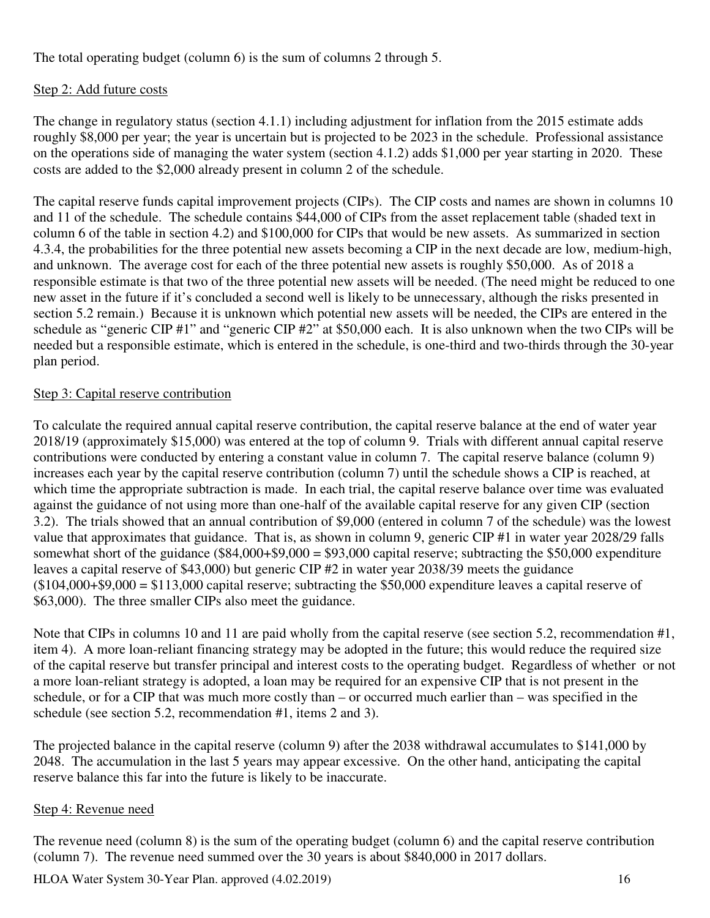The total operating budget (column 6) is the sum of columns 2 through 5.

## Step 2: Add future costs

The change in regulatory status (section 4.1.1) including adjustment for inflation from the 2015 estimate adds roughly \$8,000 per year; the year is uncertain but is projected to be 2023 in the schedule. Professional assistance on the operations side of managing the water system (section 4.1.2) adds \$1,000 per year starting in 2020. These costs are added to the \$2,000 already present in column 2 of the schedule.

The capital reserve funds capital improvement projects (CIPs). The CIP costs and names are shown in columns 10 and 11 of the schedule. The schedule contains \$44,000 of CIPs from the asset replacement table (shaded text in column 6 of the table in section 4.2) and \$100,000 for CIPs that would be new assets. As summarized in section 4.3.4, the probabilities for the three potential new assets becoming a CIP in the next decade are low, medium-high, and unknown. The average cost for each of the three potential new assets is roughly \$50,000. As of 2018 a responsible estimate is that two of the three potential new assets will be needed. (The need might be reduced to one new asset in the future if it's concluded a second well is likely to be unnecessary, although the risks presented in section 5.2 remain.) Because it is unknown which potential new assets will be needed, the CIPs are entered in the schedule as "generic CIP #1" and "generic CIP #2" at \$50,000 each. It is also unknown when the two CIPs will be needed but a responsible estimate, which is entered in the schedule, is one-third and two-thirds through the 30-year plan period.

### Step 3: Capital reserve contribution

To calculate the required annual capital reserve contribution, the capital reserve balance at the end of water year 2018/19 (approximately \$15,000) was entered at the top of column 9. Trials with different annual capital reserve contributions were conducted by entering a constant value in column 7. The capital reserve balance (column 9) increases each year by the capital reserve contribution (column 7) until the schedule shows a CIP is reached, at which time the appropriate subtraction is made. In each trial, the capital reserve balance over time was evaluated against the guidance of not using more than one-half of the available capital reserve for any given CIP (section 3.2). The trials showed that an annual contribution of \$9,000 (entered in column 7 of the schedule) was the lowest value that approximates that guidance. That is, as shown in column 9, generic CIP #1 in water year 2028/29 falls somewhat short of the guidance  $(\$84,000+\$9,000 = \$93,000$  capital reserve; subtracting the \$50,000 expenditure leaves a capital reserve of \$43,000) but generic CIP #2 in water year 2038/39 meets the guidance  $($104,000+$9,000 = $113,000$  capital reserve; subtracting the \$50,000 expenditure leaves a capital reserve of \$63,000). The three smaller CIPs also meet the guidance.

Note that CIPs in columns 10 and 11 are paid wholly from the capital reserve (see section 5.2, recommendation #1, item 4). A more loan-reliant financing strategy may be adopted in the future; this would reduce the required size of the capital reserve but transfer principal and interest costs to the operating budget. Regardless of whether or not a more loan-reliant strategy is adopted, a loan may be required for an expensive CIP that is not present in the schedule, or for a CIP that was much more costly than – or occurred much earlier than – was specified in the schedule (see section 5.2, recommendation #1, items 2 and 3).

The projected balance in the capital reserve (column 9) after the 2038 withdrawal accumulates to \$141,000 by 2048. The accumulation in the last 5 years may appear excessive. On the other hand, anticipating the capital reserve balance this far into the future is likely to be inaccurate.

### Step 4: Revenue need

The revenue need (column 8) is the sum of the operating budget (column 6) and the capital reserve contribution (column 7). The revenue need summed over the 30 years is about \$840,000 in 2017 dollars.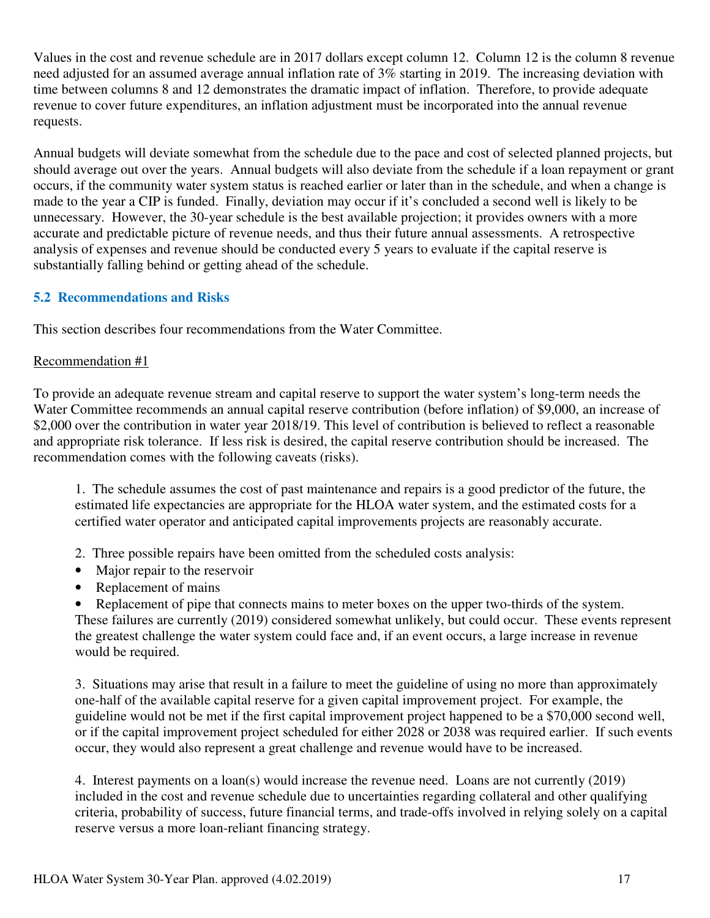Values in the cost and revenue schedule are in 2017 dollars except column 12. Column 12 is the column 8 revenue need adjusted for an assumed average annual inflation rate of 3% starting in 2019. The increasing deviation with time between columns 8 and 12 demonstrates the dramatic impact of inflation. Therefore, to provide adequate revenue to cover future expenditures, an inflation adjustment must be incorporated into the annual revenue requests.

Annual budgets will deviate somewhat from the schedule due to the pace and cost of selected planned projects, but should average out over the years. Annual budgets will also deviate from the schedule if a loan repayment or grant occurs, if the community water system status is reached earlier or later than in the schedule, and when a change is made to the year a CIP is funded. Finally, deviation may occur if it's concluded a second well is likely to be unnecessary. However, the 30-year schedule is the best available projection; it provides owners with a more accurate and predictable picture of revenue needs, and thus their future annual assessments. A retrospective analysis of expenses and revenue should be conducted every 5 years to evaluate if the capital reserve is substantially falling behind or getting ahead of the schedule.

## **5.2 Recommendations and Risks**

This section describes four recommendations from the Water Committee.

### Recommendation #1

To provide an adequate revenue stream and capital reserve to support the water system's long-term needs the Water Committee recommends an annual capital reserve contribution (before inflation) of \$9,000, an increase of \$2,000 over the contribution in water year 2018/19. This level of contribution is believed to reflect a reasonable and appropriate risk tolerance. If less risk is desired, the capital reserve contribution should be increased. The recommendation comes with the following caveats (risks).

1. The schedule assumes the cost of past maintenance and repairs is a good predictor of the future, the estimated life expectancies are appropriate for the HLOA water system, and the estimated costs for a certified water operator and anticipated capital improvements projects are reasonably accurate.

- 2. Three possible repairs have been omitted from the scheduled costs analysis:
- Major repair to the reservoir
- Replacement of mains
- Replacement of pipe that connects mains to meter boxes on the upper two-thirds of the system.

These failures are currently (2019) considered somewhat unlikely, but could occur. These events represent the greatest challenge the water system could face and, if an event occurs, a large increase in revenue would be required.

3. Situations may arise that result in a failure to meet the guideline of using no more than approximately one-half of the available capital reserve for a given capital improvement project. For example, the guideline would not be met if the first capital improvement project happened to be a \$70,000 second well, or if the capital improvement project scheduled for either 2028 or 2038 was required earlier. If such events occur, they would also represent a great challenge and revenue would have to be increased.

4. Interest payments on a loan(s) would increase the revenue need. Loans are not currently (2019) included in the cost and revenue schedule due to uncertainties regarding collateral and other qualifying criteria, probability of success, future financial terms, and trade-offs involved in relying solely on a capital reserve versus a more loan-reliant financing strategy.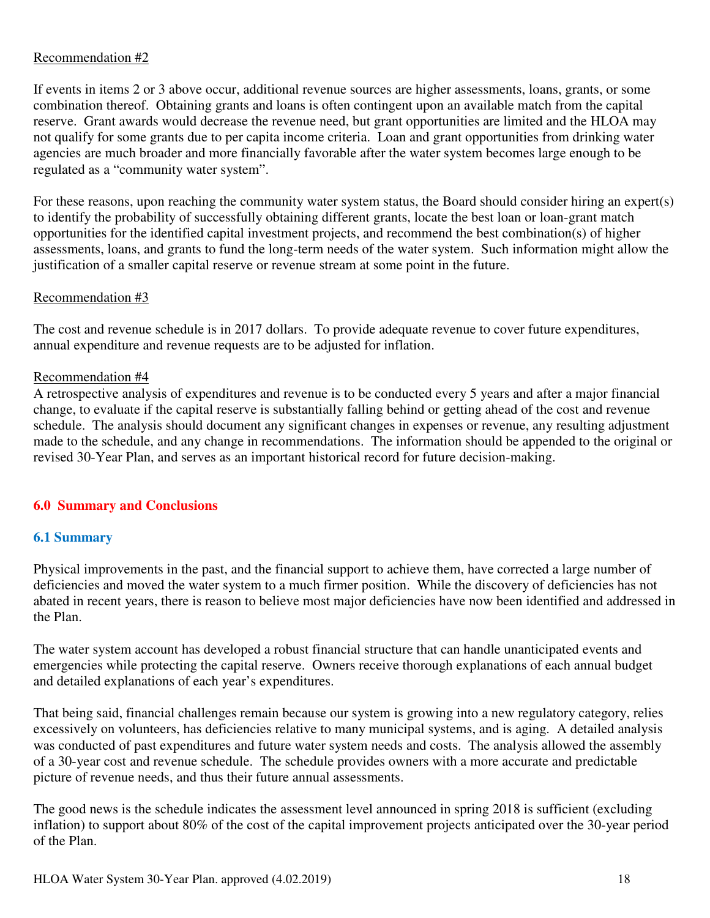## Recommendation #2

If events in items 2 or 3 above occur, additional revenue sources are higher assessments, loans, grants, or some combination thereof. Obtaining grants and loans is often contingent upon an available match from the capital reserve. Grant awards would decrease the revenue need, but grant opportunities are limited and the HLOA may not qualify for some grants due to per capita income criteria. Loan and grant opportunities from drinking water agencies are much broader and more financially favorable after the water system becomes large enough to be regulated as a "community water system".

For these reasons, upon reaching the community water system status, the Board should consider hiring an expert(s) to identify the probability of successfully obtaining different grants, locate the best loan or loan-grant match opportunities for the identified capital investment projects, and recommend the best combination(s) of higher assessments, loans, and grants to fund the long-term needs of the water system. Such information might allow the justification of a smaller capital reserve or revenue stream at some point in the future.

### Recommendation #3

The cost and revenue schedule is in 2017 dollars. To provide adequate revenue to cover future expenditures, annual expenditure and revenue requests are to be adjusted for inflation.

## Recommendation #4

A retrospective analysis of expenditures and revenue is to be conducted every 5 years and after a major financial change, to evaluate if the capital reserve is substantially falling behind or getting ahead of the cost and revenue schedule. The analysis should document any significant changes in expenses or revenue, any resulting adjustment made to the schedule, and any change in recommendations. The information should be appended to the original or revised 30-Year Plan, and serves as an important historical record for future decision-making.

## **6.0 Summary and Conclusions**

## **6.1 Summary**

Physical improvements in the past, and the financial support to achieve them, have corrected a large number of deficiencies and moved the water system to a much firmer position. While the discovery of deficiencies has not abated in recent years, there is reason to believe most major deficiencies have now been identified and addressed in the Plan.

The water system account has developed a robust financial structure that can handle unanticipated events and emergencies while protecting the capital reserve. Owners receive thorough explanations of each annual budget and detailed explanations of each year's expenditures.

That being said, financial challenges remain because our system is growing into a new regulatory category, relies excessively on volunteers, has deficiencies relative to many municipal systems, and is aging. A detailed analysis was conducted of past expenditures and future water system needs and costs. The analysis allowed the assembly of a 30-year cost and revenue schedule. The schedule provides owners with a more accurate and predictable picture of revenue needs, and thus their future annual assessments.

The good news is the schedule indicates the assessment level announced in spring 2018 is sufficient (excluding inflation) to support about 80% of the cost of the capital improvement projects anticipated over the 30-year period of the Plan.